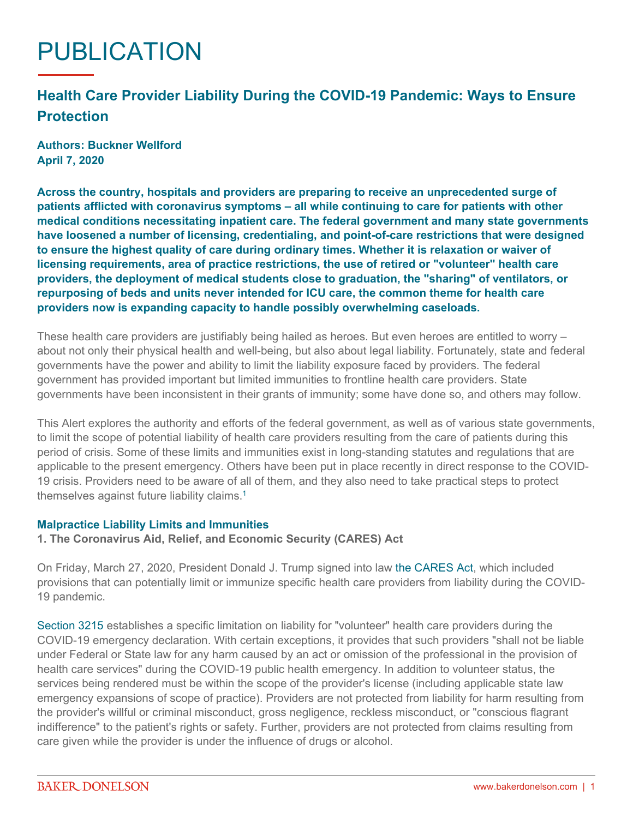# PUBLICATION

# **Health Care Provider Liability During the COVID-19 Pandemic: Ways to Ensure Protection**

**Authors: Buckner Wellford April 7, 2020**

**Across the country, hospitals and providers are preparing to receive an unprecedented surge of patients afflicted with coronavirus symptoms – all while continuing to care for patients with other medical conditions necessitating inpatient care. The federal government and many state governments have loosened a number of licensing, credentialing, and point-of-care restrictions that were designed to ensure the highest quality of care during ordinary times. Whether it is relaxation or waiver of licensing requirements, area of practice restrictions, the use of retired or "volunteer" health care providers, the deployment of medical students close to graduation, the "sharing" of ventilators, or repurposing of beds and units never intended for ICU care, the common theme for health care providers now is expanding capacity to handle possibly overwhelming caseloads.**

These health care providers are justifiably being hailed as heroes. But even heroes are entitled to worry – about not only their physical health and well-being, but also about legal liability. Fortunately, state and federal governments have the power and ability to limit the liability exposure faced by providers. The federal government has provided important but limited immunities to frontline health care providers. State governments have been inconsistent in their grants of immunity; some have done so, and others may follow.

This Alert explores the authority and efforts of the federal government, as well as of various state governments, to limit the scope of potential liability of health care providers resulting from the care of patients during this period of crisis. Some of these limits and immunities exist in long-standing statutes and regulations that are applicable to the present emergency. Others have been put in place recently in direct response to the COVID-19 crisis. Providers need to be aware of all of them, and they also need to take practical steps to protect themselves against future liability claims.[1](#page-3-0)

#### **Malpractice Liability Limits and Immunities**

**1. The Coronavirus Aid, Relief, and Economic Security (CARES) Act**

On Friday, March 27, 2020, President Donald J. Trump signed into law [the CARES Act,](https://assets.documentcloud.org/documents/20059055/final-final-cares-act.pdf) which included provisions that can potentially limit or immunize specific health care providers from liability during the COVID-19 pandemic.

[Section 3215](https://www.congress.gov/bill/116th-congress/house-bill/748/text#toc-H16DA8E9326B14CE8B59468B2CC20C7FF) establishes a specific limitation on liability for "volunteer" health care providers during the COVID-19 emergency declaration. With certain exceptions, it provides that such providers "shall not be liable under Federal or State law for any harm caused by an act or omission of the professional in the provision of health care services" during the COVID-19 public health emergency. In addition to volunteer status, the services being rendered must be within the scope of the provider's license (including applicable state law emergency expansions of scope of practice). Providers are not protected from liability for harm resulting from the provider's willful or criminal misconduct, gross negligence, reckless misconduct, or "conscious flagrant indifference" to the patient's rights or safety. Further, providers are not protected from claims resulting from care given while the provider is under the influence of drugs or alcohol.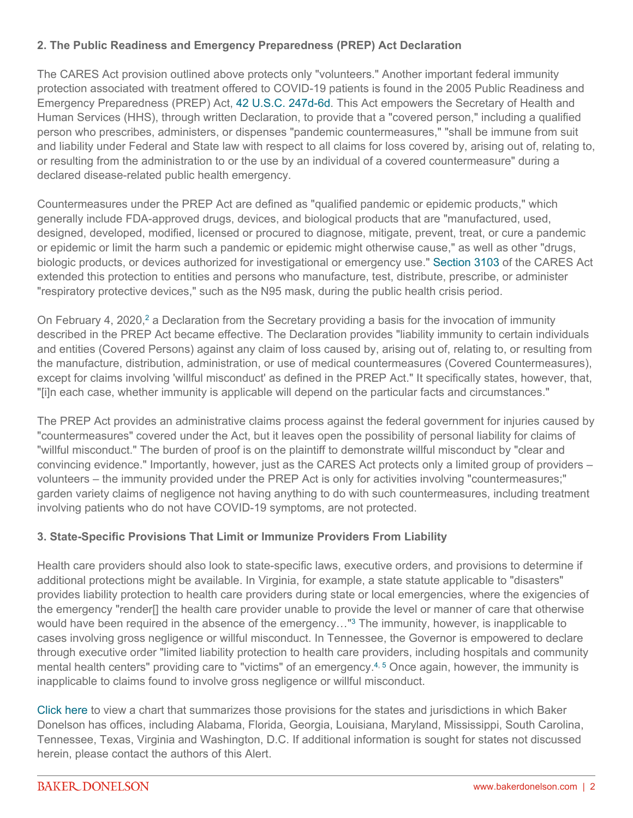## **2. The Public Readiness and Emergency Preparedness (PREP) Act Declaration**

The CARES Act provision outlined above protects only "volunteers." Another important federal immunity protection associated with treatment offered to COVID-19 patients is found in the 2005 Public Readiness and Emergency Preparedness (PREP) Act, [42 U.S.C. 247d-6d.](https://www.law.cornell.edu/uscode/text/42/247d-6d) This Act empowers the Secretary of Health and Human Services (HHS), through written Declaration, to provide that a "covered person," including a qualified person who prescribes, administers, or dispenses "pandemic countermeasures," "shall be immune from suit and liability under Federal and State law with respect to all claims for loss covered by, arising out of, relating to, or resulting from the administration to or the use by an individual of a covered countermeasure" during a declared disease-related public health emergency.

Countermeasures under the PREP Act are defined as "qualified pandemic or epidemic products," which generally include FDA-approved drugs, devices, and biological products that are "manufactured, used, designed, developed, modified, licensed or procured to diagnose, mitigate, prevent, treat, or cure a pandemic or epidemic or limit the harm such a pandemic or epidemic might otherwise cause," as well as other "drugs, biologic products, or devices authorized for investigational or emergency use." [Section 3103](https://www.congress.gov/bill/116th-congress/house-bill/748/text#toc-HFAC6BD1659E445ACBE6C0D15D4F53705) of the CARES Act extended this protection to entities and persons who manufacture, test, distribute, prescribe, or administer "respiratory protective devices," such as the N95 mask, during the public health crisis period.

On February 4, [2](#page-3-1)020,<sup>2</sup> a Declaration from the Secretary providing a basis for the invocation of immunity described in the PREP Act became effective. The Declaration provides "liability immunity to certain individuals and entities (Covered Persons) against any claim of loss caused by, arising out of, relating to, or resulting from the manufacture, distribution, administration, or use of medical countermeasures (Covered Countermeasures), except for claims involving 'willful misconduct' as defined in the PREP Act." It specifically states, however, that, "[i]n each case, whether immunity is applicable will depend on the particular facts and circumstances."

The PREP Act provides an administrative claims process against the federal government for injuries caused by "countermeasures" covered under the Act, but it leaves open the possibility of personal liability for claims of "willful misconduct." The burden of proof is on the plaintiff to demonstrate willful misconduct by "clear and convincing evidence." Importantly, however, just as the CARES Act protects only a limited group of providers – volunteers – the immunity provided under the PREP Act is only for activities involving "countermeasures;" garden variety claims of negligence not having anything to do with such countermeasures, including treatment involving patients who do not have COVID-19 symptoms, are not protected.

#### **3. State-Specific Provisions That Limit or Immunize Providers From Liability**

Health care providers should also look to state-specific laws, executive orders, and provisions to determine if additional protections might be available. In Virginia, for example, a state statute applicable to "disasters" provides liability protection to health care providers during state or local emergencies, where the exigencies of the emergency "render[] the health care provider unable to provide the level or manner of care that otherwise would have been required in the absence of the emergency…"[3](#page-3-2) The immunity, however, is inapplicable to cases involving gross negligence or willful misconduct. In Tennessee, the Governor is empowered to declare through executive order "limited liability protection to health care providers, including hospitals and community mental health centers" providing care to "victims" of an emergency.<sup>[4,](#page-3-3) [5](#page-3-4)</sup> Once again, however, the immunity is inapplicable to claims found to involve gross negligence or willful misconduct.

[Click here](https://www.bakerdonelson.com/webfiles/Publications/COVID-19_State_Comparison_04_06_2020.pdf) to view a chart that summarizes those provisions for the states and jurisdictions in which Baker Donelson has offices, including Alabama, Florida, Georgia, Louisiana, Maryland, Mississippi, South Carolina, Tennessee, Texas, Virginia and Washington, D.C. If additional information is sought for states not discussed herein, please contact the authors of this Alert.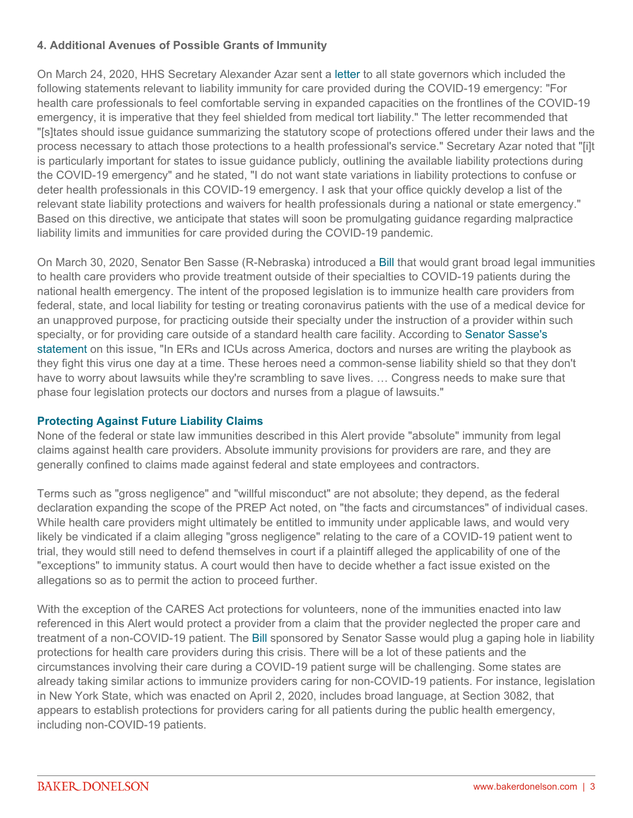## **4. Additional Avenues of Possible Grants of Immunity**

On March 24, 2020, HHS Secretary Alexander Azar sent a [letter](https://www.ncsbn.org/HHS_Secretary_Letter_to_States_Licensing_Waivers.pdf) to all state governors which included the following statements relevant to liability immunity for care provided during the COVID-19 emergency: "For health care professionals to feel comfortable serving in expanded capacities on the frontlines of the COVID-19 emergency, it is imperative that they feel shielded from medical tort liability." The letter recommended that "[s]tates should issue guidance summarizing the statutory scope of protections offered under their laws and the process necessary to attach those protections to a health professional's service." Secretary Azar noted that "[i]t is particularly important for states to issue guidance publicly, outlining the available liability protections during the COVID-19 emergency" and he stated, "I do not want state variations in liability protections to confuse or deter health professionals in this COVID-19 emergency. I ask that your office quickly develop a list of the relevant state liability protections and waivers for health professionals during a national or state emergency." Based on this directive, we anticipate that states will soon be promulgating guidance regarding malpractice liability limits and immunities for care provided during the COVID-19 pandemic.

On March 30, 2020, Senator Ben Sasse (R-Nebraska) introduced a [Bill](https://www.law360.com/articles/1258473/attachments/0) that would grant broad legal immunities to health care providers who provide treatment outside of their specialties to COVID-19 patients during the national health emergency. The intent of the proposed legislation is to immunize health care providers from federal, state, and local liability for testing or treating coronavirus patients with the use of a medical device for an unapproved purpose, for practicing outside their specialty under the instruction of a provider within such specialty, or for providing care outside of a standard health care facility. According to [Senator Sasse's](https://www.sasse.senate.gov/public/index.cfm/2020/3/sasse-pushes-liability-shield-for-coronavirus-doctors)  [statement](https://www.sasse.senate.gov/public/index.cfm/2020/3/sasse-pushes-liability-shield-for-coronavirus-doctors) on this issue, "In ERs and ICUs across America, doctors and nurses are writing the playbook as they fight this virus one day at a time. These heroes need a common-sense liability shield so that they don't have to worry about lawsuits while they're scrambling to save lives. … Congress needs to make sure that phase four legislation protects our doctors and nurses from a plague of lawsuits."

#### **Protecting Against Future Liability Claims**

None of the federal or state law immunities described in this Alert provide "absolute" immunity from legal claims against health care providers. Absolute immunity provisions for providers are rare, and they are generally confined to claims made against federal and state employees and contractors.

Terms such as "gross negligence" and "willful misconduct" are not absolute; they depend, as the federal declaration expanding the scope of the PREP Act noted, on "the facts and circumstances" of individual cases. While health care providers might ultimately be entitled to immunity under applicable laws, and would very likely be vindicated if a claim alleging "gross negligence" relating to the care of a COVID-19 patient went to trial, they would still need to defend themselves in court if a plaintiff alleged the applicability of one of the "exceptions" to immunity status. A court would then have to decide whether a fact issue existed on the allegations so as to permit the action to proceed further.

With the exception of the CARES Act protections for volunteers, none of the immunities enacted into law referenced in this Alert would protect a provider from a claim that the provider neglected the proper care and treatment of a non-COVID-19 patient. The [Bill](https://www.law360.com/articles/1258473/attachments/0) sponsored by Senator Sasse would plug a gaping hole in liability protections for health care providers during this crisis. There will be a lot of these patients and the circumstances involving their care during a COVID-19 patient surge will be challenging. Some states are already taking similar actions to immunize providers caring for non-COVID-19 patients. For instance, legislation in New York State, which was enacted on April 2, 2020, includes broad language, at Section 3082, that appears to establish protections for providers caring for all patients during the public health emergency, including non-COVID-19 patients.